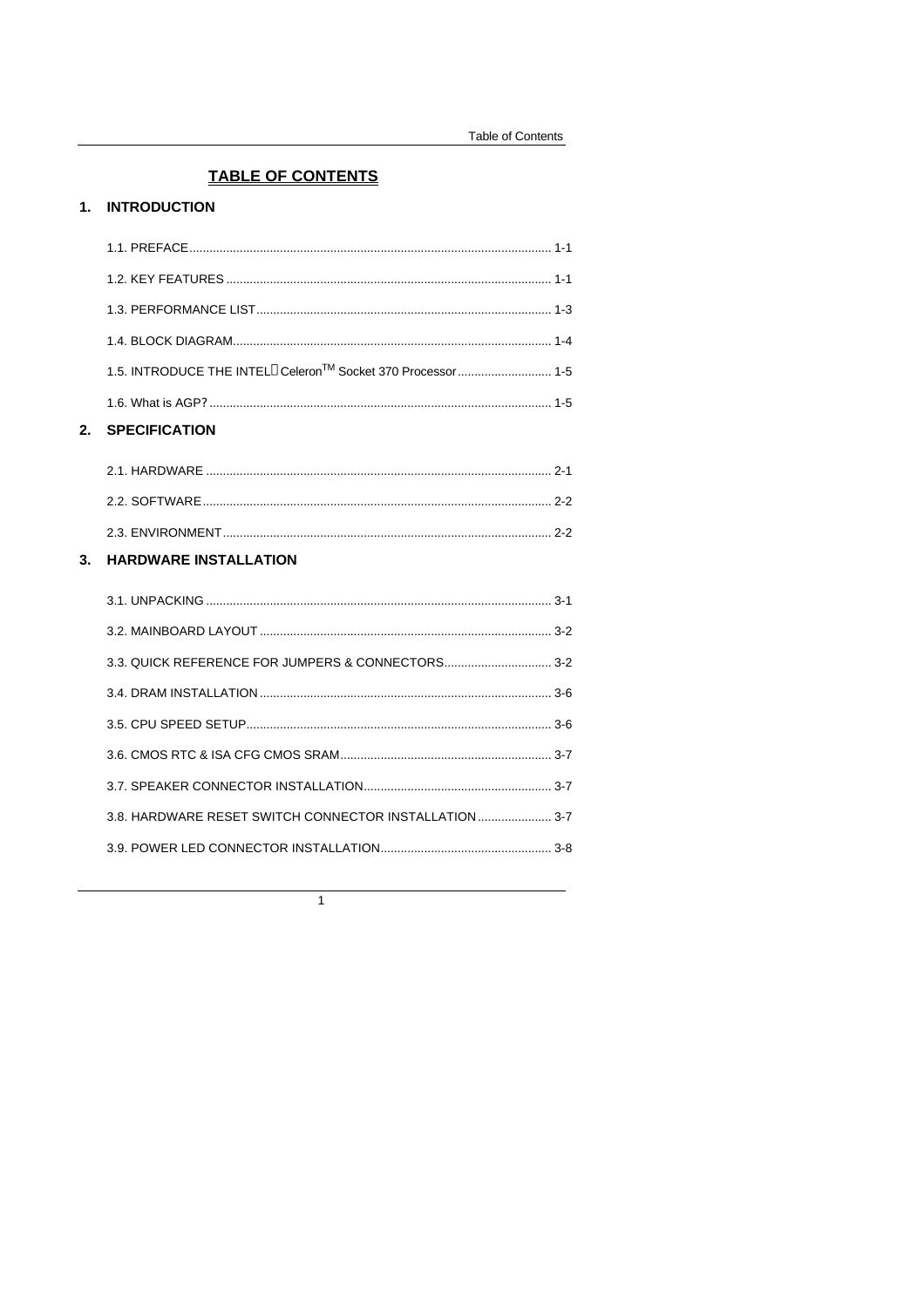# **TABLE OF CONTENTS**

## 1. INTRODUCTION

| <b>SPECIFICATION</b> |  |
|----------------------|--|
|                      |  |
|                      |  |
|                      |  |
|                      |  |
|                      |  |
|                      |  |

| 2.1. HARDWARE ………………………………………………………………………………………  |  |
|--------------------------------------------------|--|
| 2.2. SOFTWARE ………………………………………………………………………………………… |  |
|                                                  |  |

## 3. HARDWARE INSTALLATION

| 3.3. QUICK REFERENCE FOR JUMPERS & CONNECTORS 3-2     |  |
|-------------------------------------------------------|--|
|                                                       |  |
|                                                       |  |
|                                                       |  |
|                                                       |  |
| 3.8. HARDWARE RESET SWITCH CONNECTOR INSTALLATION 3-7 |  |
|                                                       |  |
|                                                       |  |

 $\overline{1}$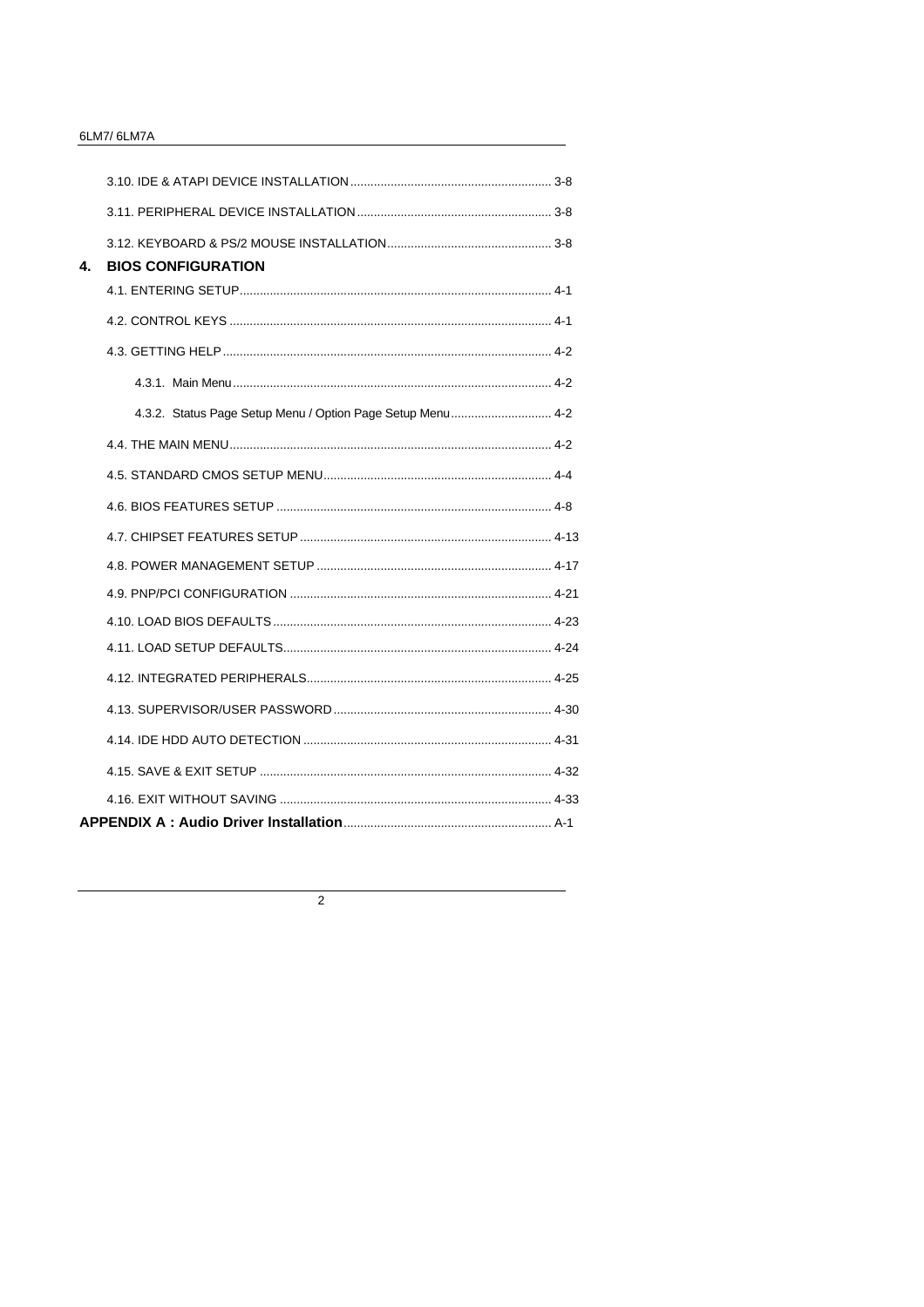### 6LM7/6LM7A

| 4. | <b>BIOS CONFIGURATION</b>                                  |
|----|------------------------------------------------------------|
|    |                                                            |
|    |                                                            |
|    |                                                            |
|    |                                                            |
|    | 4.3.2. Status Page Setup Menu / Option Page Setup Menu 4-2 |
|    |                                                            |
|    |                                                            |
|    |                                                            |
|    |                                                            |
|    |                                                            |
|    |                                                            |
|    |                                                            |
|    |                                                            |
|    |                                                            |
|    |                                                            |
|    |                                                            |
|    |                                                            |
|    |                                                            |
|    |                                                            |

 $\overline{2}$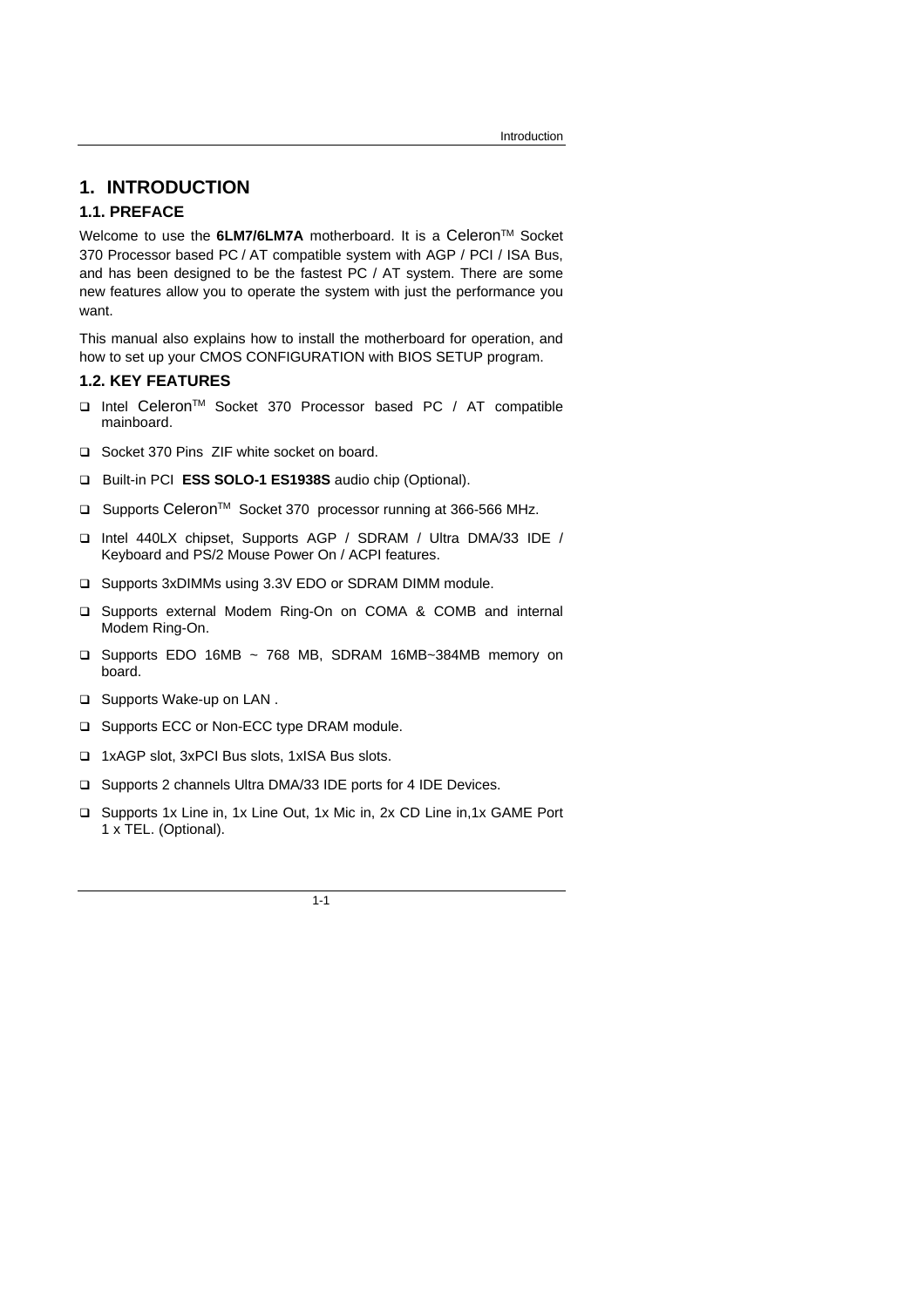## **1. INTRODUCTION**

### **1.1. PREFACE**

Welcome to use the 6LM7/6LM7A motherboard. It is a Celeron<sup>™</sup> Socket 370 Processor based PC / AT compatible system with AGP / PCI / ISA Bus, and has been designed to be the fastest PC / AT system. There are some new features allow you to operate the system with just the performance you want.

This manual also explains how to install the motherboard for operation, and how to set up your CMOS CONFIGURATION with BIOS SETUP program.

### **1.2. KEY FEATURES**

- q Intel CeleronTM Socket 370 Processor based PC / AT compatible mainboard.
- q Socket 370 Pins ZIF white socket on board.
- q Built-in PCI **ESS SOLO-1 ES1938S** audio chip (Optional).
- □ Supports Celeron<sup>™</sup> Socket 370 processor running at 366-566 MHz.
- q Intel 440LX chipset, Supports AGP / SDRAM / Ultra DMA/33 IDE / Keyboard and PS/2 Mouse Power On / ACPI features.
- □ Supports 3xDIMMs using 3.3V EDO or SDRAM DIMM module.
- □ Supports external Modem Ring-On on COMA & COMB and internal Modem Ring-On.
- q Supports EDO 16MB ~ 768 MB, SDRAM 16MB~384MB memory on board.
- □ Supports Wake-up on LAN.
- □ Supports ECC or Non-ECC type DRAM module.
- q 1xAGP slot, 3xPCI Bus slots, 1xISA Bus slots.
- □ Supports 2 channels Ultra DMA/33 IDE ports for 4 IDE Devices.
- □ Supports 1x Line in, 1x Line Out, 1x Mic in, 2x CD Line in, 1x GAME Port 1 x TEL. (Optional).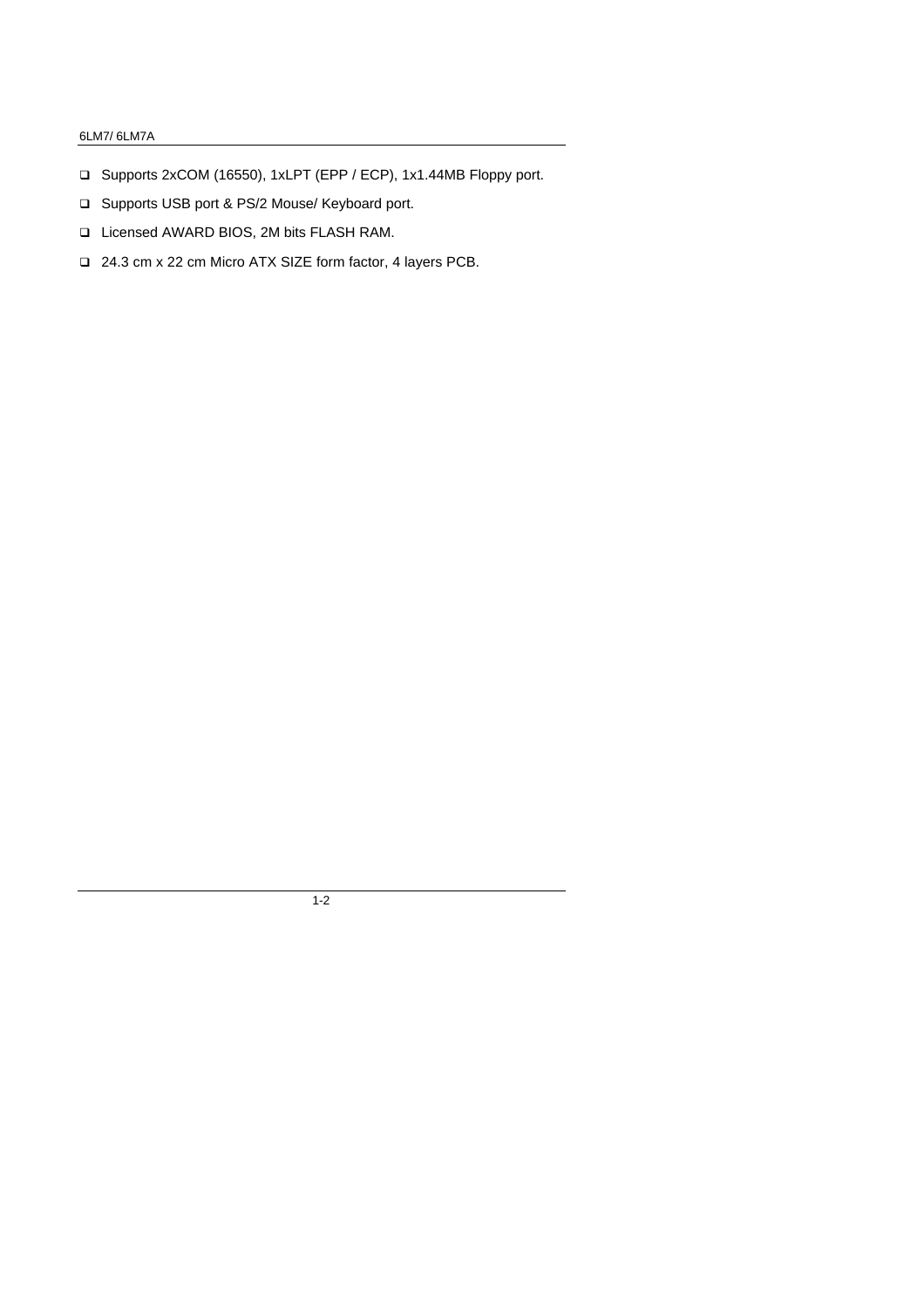### 6LM7/ 6LM7A

- q Supports 2xCOM (16550), 1xLPT (EPP / ECP), 1x1.44MB Floppy port.
- □ Supports USB port & PS/2 Mouse/ Keyboard port.
- q Licensed AWARD BIOS, 2M bits FLASH RAM.
- q 24.3 cm x 22 cm Micro ATX SIZE form factor, 4 layers PCB.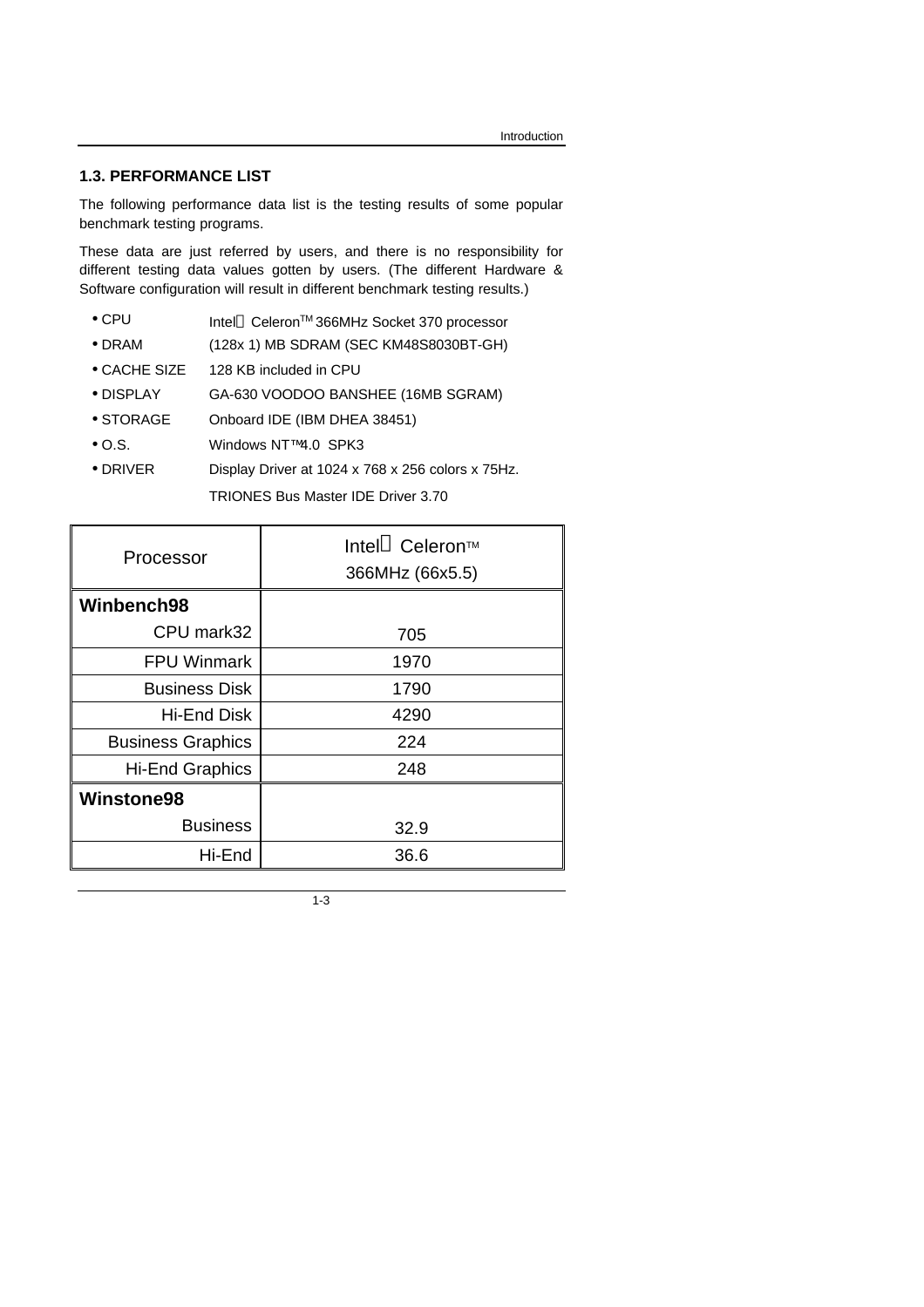## **1.3. PERFORMANCE LIST**

The following performance data list is the testing results of some popular benchmark testing programs.

These data are just referred by users, and there is no responsibility for different testing data values gotten by users. (The different Hardware & Software configuration will result in different benchmark testing results.)

- CPU Intel<sup>®</sup> Celeron<sup>TM</sup> 366MHz Socket 370 processor
- DRAM (128x 1) MB SDRAM (SEC KM48S8030BT-GH)
- CACHE SIZE 128 KB included in CPU
- DISPLAY GA-630 VOODOO BANSHEE (16MB SGRAM)
- STORAGE Onboard IDE (IBM DHEA 38451)
- O.S. Windows NT™ 4.0 SPK3
- DRIVER Display Driver at 1024 x 768 x 256 colors x 75Hz.

TRIONES Bus Master IDE Driver 3.70

| Processor                | Intel <sup>®</sup> Celeron™<br>366MHz (66x5.5) |
|--------------------------|------------------------------------------------|
| Winbench98               |                                                |
| CPU mark32               | 705                                            |
| <b>FPU Winmark</b>       | 1970                                           |
| <b>Business Disk</b>     | 1790                                           |
| <b>Hi-End Disk</b>       | 4290                                           |
| <b>Business Graphics</b> | 224                                            |
| <b>Hi-End Graphics</b>   | 248                                            |
| Winstone98               |                                                |
| <b>Business</b>          | 32.9                                           |
| Hi-End                   | 36.6                                           |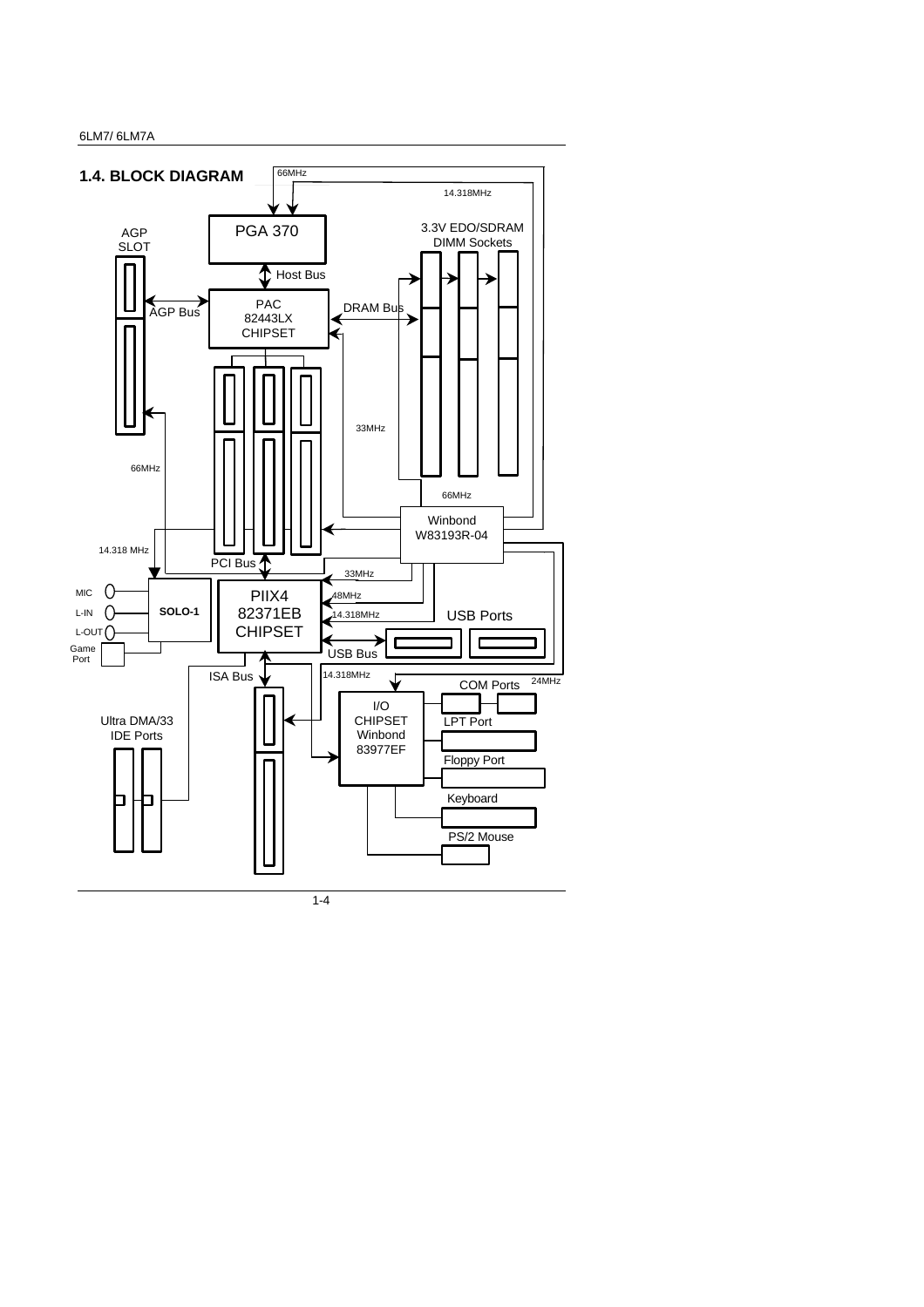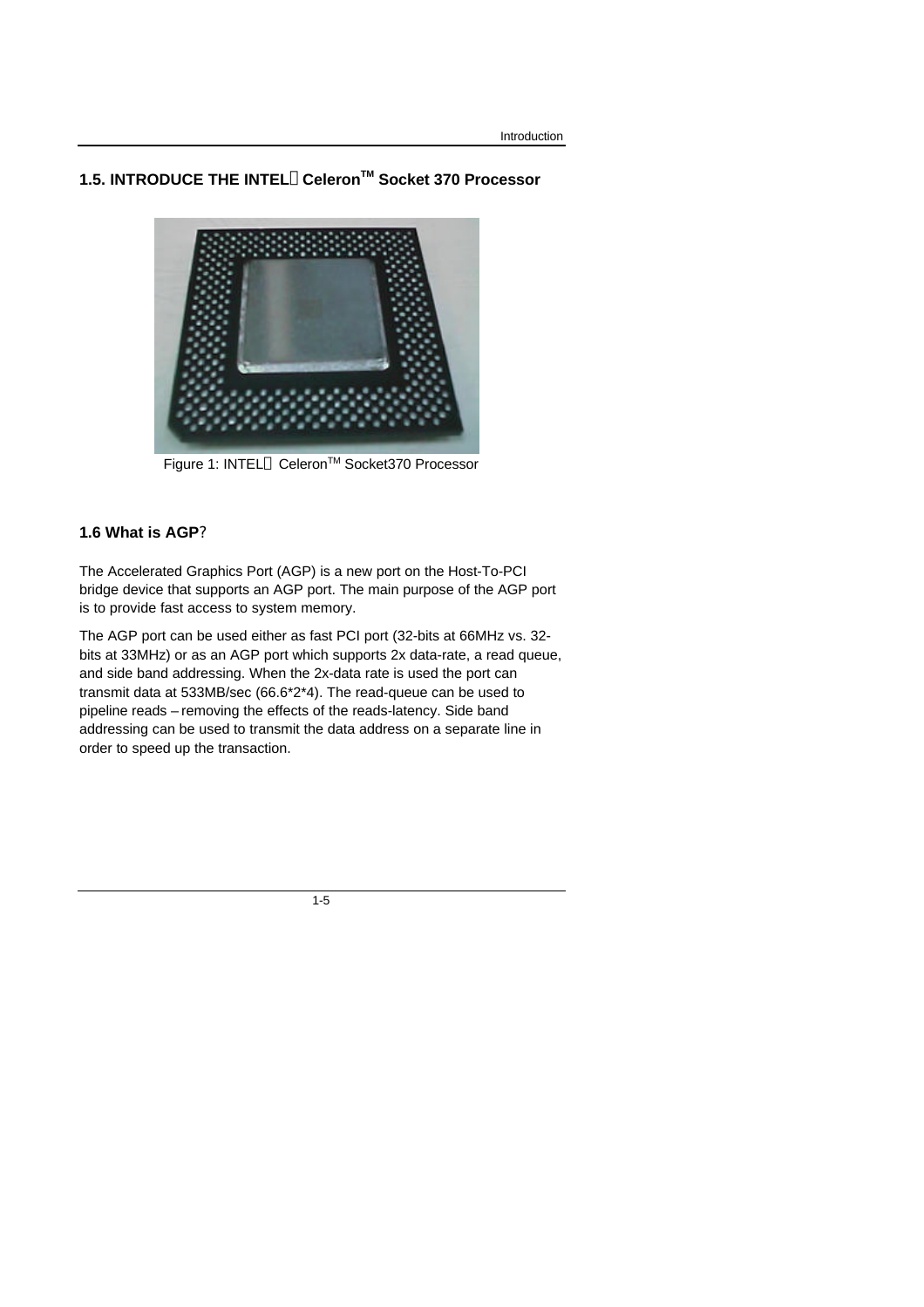## **1.5. INTRODUCE THE INTELâCeleronTM Socket 370 Processor**



Figure 1: INTEL<sup>®</sup> Celeron<sup>™</sup> Socket370 Processor

### **1.6 What is AGP?**

The Accelerated Graphics Port (AGP) is a new port on the Host-To-PCI bridge device that supports an AGP port. The main purpose of the AGP port is to provide fast access to system memory.

The AGP port can be used either as fast PCI port (32-bits at 66MHz vs. 32 bits at 33MHz) or as an AGP port which supports 2x data-rate, a read queue, and side band addressing. When the 2x-data rate is used the port can transmit data at 533MB/sec (66.6\*2\*4). The read-queue can be used to pipeline reads – removing the effects of the reads-latency. Side band addressing can be used to transmit the data address on a separate line in order to speed up the transaction.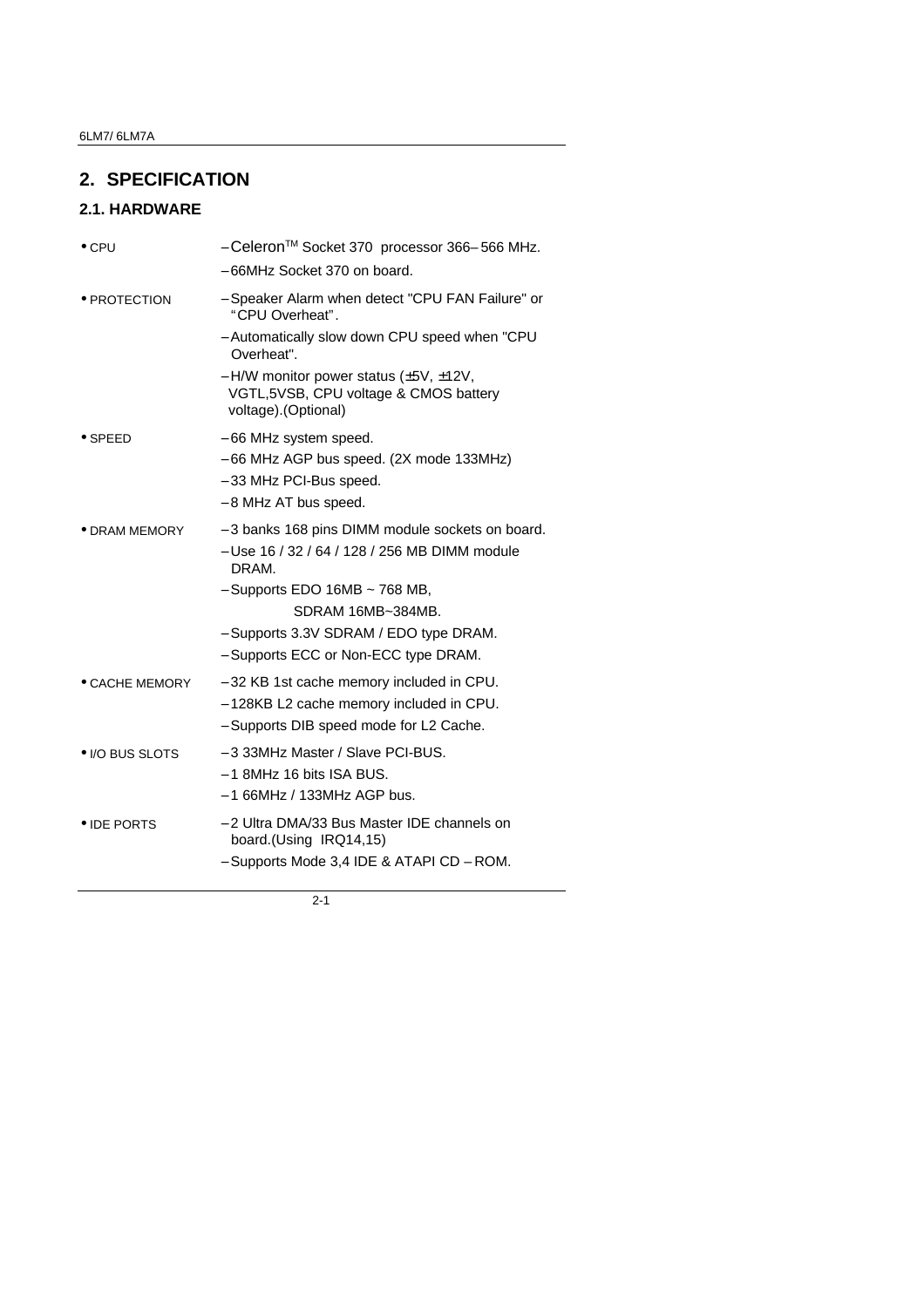# **2. SPECIFICATION**

# **2.1. HARDWARE**

| $\bullet$ CPU   | - Celeron™ Socket 370 processor 366-566 MHz.                                                                         |
|-----------------|----------------------------------------------------------------------------------------------------------------------|
|                 | - 66MHz Socket 370 on board.                                                                                         |
| • PROTECTION    | - Speaker Alarm when detect "CPU FAN Failure" or<br>"CPU Overheat".                                                  |
|                 | - Automatically slow down CPU speed when "CPU<br>Overheat".                                                          |
|                 | $-$ H/W monitor power status ( $\pm$ 5V, $\pm$ 12V,<br>VGTL,5VSB, CPU voltage & CMOS battery<br>voltage). (Optional) |
| $\bullet$ SPEED | - 66 MHz system speed.                                                                                               |
|                 | - 66 MHz AGP bus speed. (2X mode 133MHz)                                                                             |
|                 | - 33 MHz PCI-Bus speed.                                                                                              |
|                 | - 8 MHz AT bus speed.                                                                                                |
| • DRAM MEMORY   | - 3 banks 168 pins DIMM module sockets on board.<br>- Use 16 / 32 / 64 / 128 / 256 MB DIMM module<br>DRAM.           |
|                 | $-$ Supports EDO 16MB $\sim$ 768 MB,                                                                                 |
|                 | SDRAM 16MB~384MB.                                                                                                    |
|                 | - Supports 3.3V SDRAM / EDO type DRAM.                                                                               |
|                 | - Supports ECC or Non-ECC type DRAM.                                                                                 |
| • CACHE MEMORY  | - 32 KB 1st cache memory included in CPU.                                                                            |
|                 | - 128KB L2 cache memory included in CPU.                                                                             |
|                 | - Supports DIB speed mode for L2 Cache.                                                                              |
| • I/O BUS SLOTS | - 3 33MHz Master / Slave PCI-BUS.<br>$-1$ 8MHz 16 bits ISA BUS.                                                      |
|                 | $-166$ MHz / 133MHz AGP bus.                                                                                         |
| • IDE PORTS     | - 2 Ultra DMA/33 Bus Master IDE channels on                                                                          |
|                 | board.(Using IRQ14,15)                                                                                               |
|                 | - Supports Mode 3,4 IDE & ATAPI CD - ROM.                                                                            |
|                 |                                                                                                                      |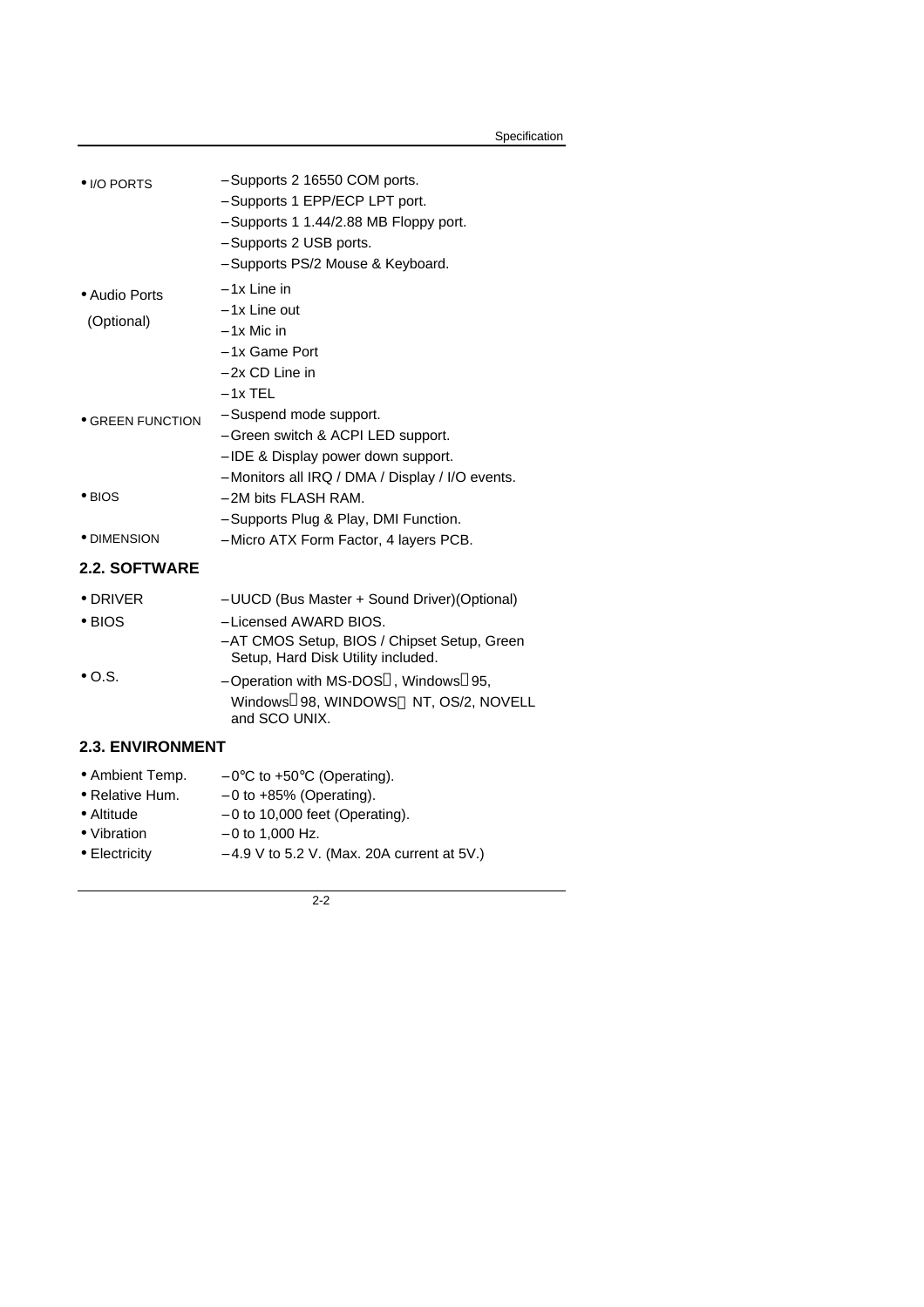| $\bullet$ I/O PORTS                                  | - Supports 2 16550 COM ports.<br>- Supports 1 EPP/ECP LPT port.<br>- Supports 1 1.44/2.88 MB Floppy port.<br>- Supports 2 USB ports.<br>- Supports PS/2 Mouse & Keyboard.                                                                                                                  |
|------------------------------------------------------|--------------------------------------------------------------------------------------------------------------------------------------------------------------------------------------------------------------------------------------------------------------------------------------------|
| • Audio Ports<br>(Optional)                          | $-1x$ Line in<br>- 1x Line out<br>$-1x$ Mic in<br>- 1x Game Port<br>$-2x$ CD Line in<br>$-1x$ TEL                                                                                                                                                                                          |
| $\bullet$ GREEN FUNCTION                             | - Suspend mode support.<br>- Green switch & ACPI LED support.<br>- IDE & Display power down support.<br>- Monitors all IRQ / DMA / Display / I/O events.                                                                                                                                   |
| $\bullet$ BIOS                                       | - 2M bits FLASH RAM.<br>- Supports Plug & Play, DMI Function.                                                                                                                                                                                                                              |
| ● DIMENSION                                          | - Micro ATX Form Factor, 4 layers PCB.                                                                                                                                                                                                                                                     |
| 2.2. SOFTWARE                                        |                                                                                                                                                                                                                                                                                            |
| $\bullet$ DRIVER<br>$\bullet$ BIOS<br>$\bullet$ O.S. | - UUCD (Bus Master + Sound Driver) (Optional)<br>- Licensed AWARD BIOS.<br>- AT CMOS Setup, BIOS / Chipset Setup, Green<br>Setup, Hard Disk Utility included.<br>- Operation with MS-DOS <sup>®</sup> , Windows <sup>®</sup> 95,<br>Windows®98, WINDOWS™ NT, OS/2, NOVELL<br>and SCO UNIX. |
| <b>2.3. ENVIRONMENT</b>                              |                                                                                                                                                                                                                                                                                            |
| • Relative Hum.<br>$\Lambda$ 14:4                    | • Ambient Temp. $-0$ °C to +50°C (Operating).<br>$-0$ to $+85%$ (Operating).<br>$0 to 1000$ fact $(Onomial)$                                                                                                                                                                               |

- Altitude − 0 to 10,000 feet (Operating). • Vibration − 0 to 1,000 Hz.
- Electricity − 4.9 V to 5.2 V. (Max. 20A current at 5V.)
	-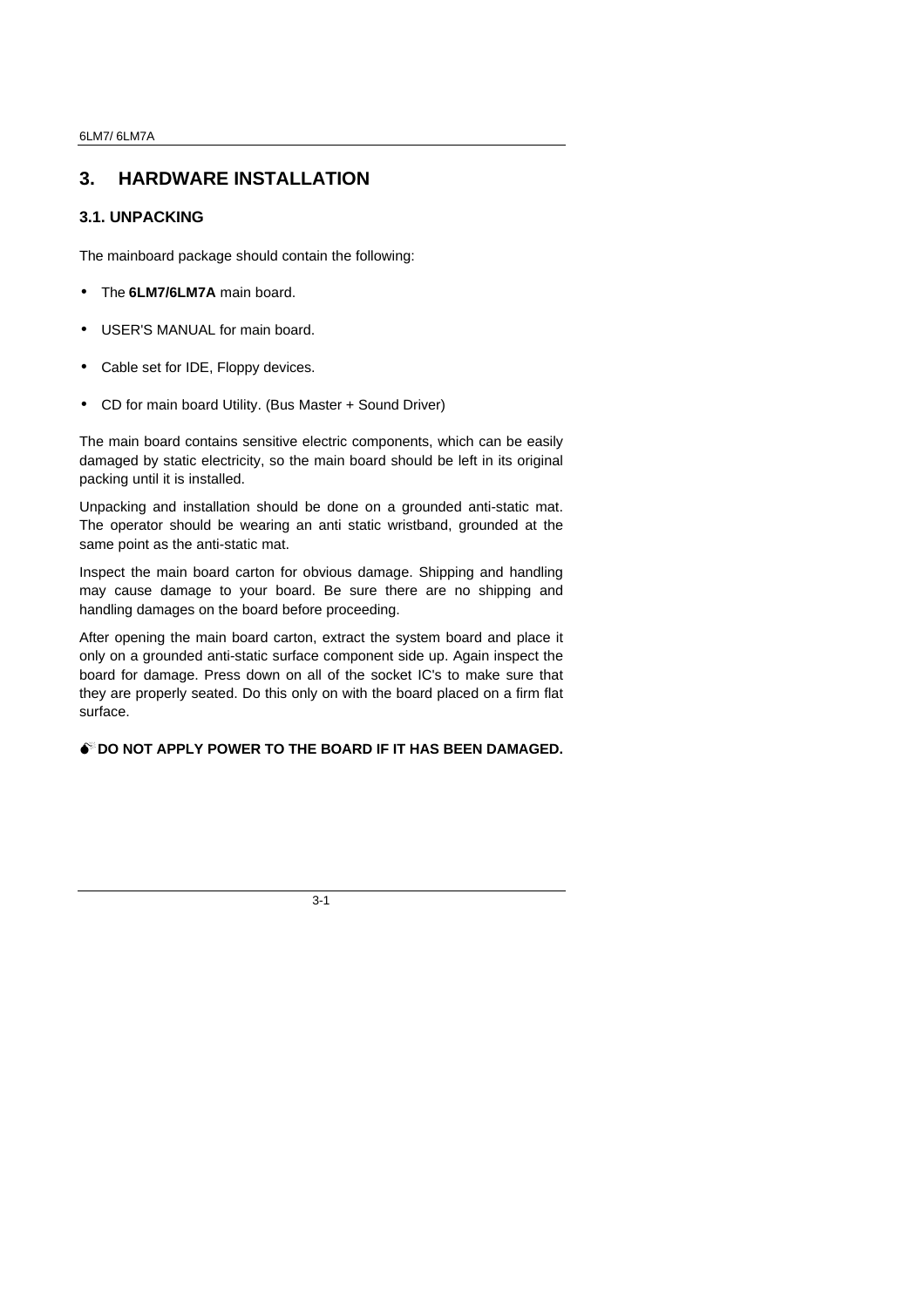## **3. HARDWARE INSTALLATION**

## **3.1. UNPACKING**

The mainboard package should contain the following:

- The **6LM7/6LM7A** main board.
- USER'S MANUAL for main board.
- Cable set for IDE, Floppy devices.
- CD for main board Utility. (Bus Master + Sound Driver)

The main board contains sensitive electric components, which can be easily damaged by static electricity, so the main board should be left in its original packing until it is installed.

Unpacking and installation should be done on a grounded anti-static mat. The operator should be wearing an anti static wristband, grounded at the same point as the anti-static mat.

Inspect the main board carton for obvious damage. Shipping and handling may cause damage to your board. Be sure there are no shipping and handling damages on the board before proceeding.

After opening the main board carton, extract the system board and place it only on a grounded anti-static surface component side up. Again inspect the board for damage. Press down on all of the socket IC's to make sure that they are properly seated. Do this only on with the board placed on a firm flat surface.

### **M**<sup>**D**</sup> DO NOT APPLY POWER TO THE BOARD IF IT HAS BEEN DAMAGED.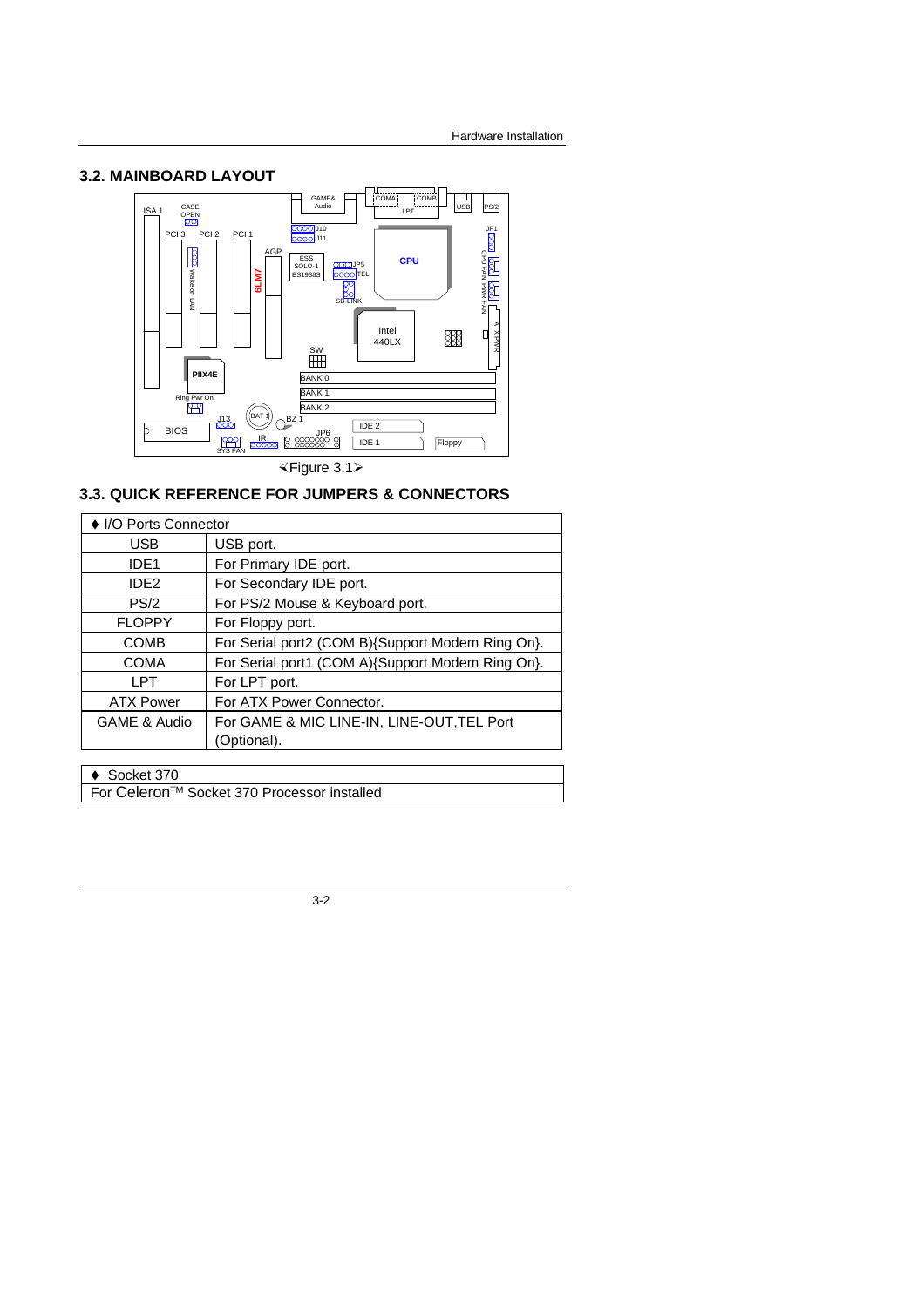### **3.2. MAINBOARD LAYOUT**



**3.3. QUICK REFERENCE FOR JUMPERS & CONNECTORS**

| ♦ I/O Ports Connector |                                                  |
|-----------------------|--------------------------------------------------|
| <b>USB</b>            | USB port.                                        |
| IDE <sub>1</sub>      | For Primary IDE port.                            |
| IDE <sub>2</sub>      | For Secondary IDE port.                          |
| PS/2                  | For PS/2 Mouse & Keyboard port.                  |
| <b>FLOPPY</b>         | For Floppy port.                                 |
| <b>COMB</b>           | For Serial port2 (COM B){Support Modem Ring On}. |
| <b>COMA</b>           | For Serial port1 (COM A){Support Modem Ring On}. |
| LPT                   | For LPT port.                                    |
| <b>ATX Power</b>      | For ATX Power Connector.                         |
| GAME & Audio          | For GAME & MIC LINE-IN, LINE-OUT, TEL Port       |
|                       | (Optional).                                      |
|                       |                                                  |

 $\triangleleft$  Socket 370

For CeleronTM Socket 370 Processor installed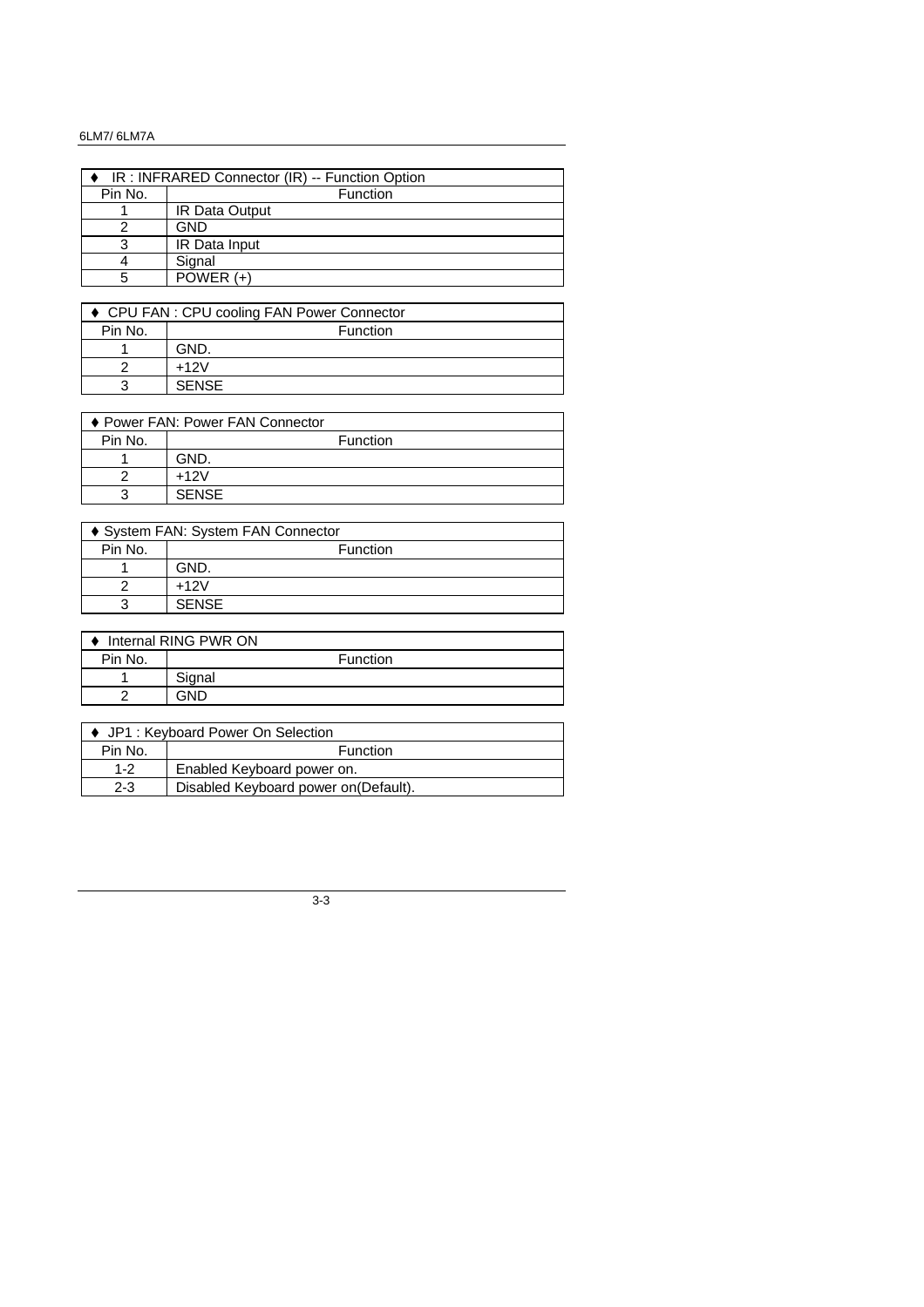### 6LM7/ 6LM7A

| IR: INFRARED Connector (IR) -- Function Option |                       |  |  |
|------------------------------------------------|-----------------------|--|--|
| Pin No.                                        | Function              |  |  |
|                                                | <b>IR Data Output</b> |  |  |
|                                                | GND                   |  |  |
| З                                              | IR Data Input         |  |  |
|                                                | Signal                |  |  |
| 5                                              | POWER $(+)$           |  |  |

| ♦ CPU FAN : CPU cooling FAN Power Connector |              |  |
|---------------------------------------------|--------------|--|
| Pin No.                                     | Function     |  |
|                                             | GND.         |  |
|                                             | $+12V$       |  |
| 3                                           | <b>SENSE</b> |  |

| ♦ Power FAN: Power FAN Connector |              |  |
|----------------------------------|--------------|--|
| Pin No.                          | Function     |  |
|                                  | GND.         |  |
|                                  | $+12V$       |  |
| 3                                | <b>SENSE</b> |  |

| ♦ System FAN: System FAN Connector |              |  |
|------------------------------------|--------------|--|
| Pin No.                            | Function     |  |
|                                    | GND.         |  |
|                                    | $+12V$       |  |
|                                    | <b>SENSE</b> |  |

| Internal RING PWR ON |        |          |  |
|----------------------|--------|----------|--|
| Pin No.              |        | Function |  |
|                      | Signal |          |  |
|                      | GND    |          |  |

| ♦ JP1 : Keyboard Power On Selection |                                       |  |  |
|-------------------------------------|---------------------------------------|--|--|
| Pin No.                             | <b>Function</b>                       |  |  |
| $1 - 2$                             | Enabled Keyboard power on.            |  |  |
| $2 - 3$                             | Disabled Keyboard power on (Default). |  |  |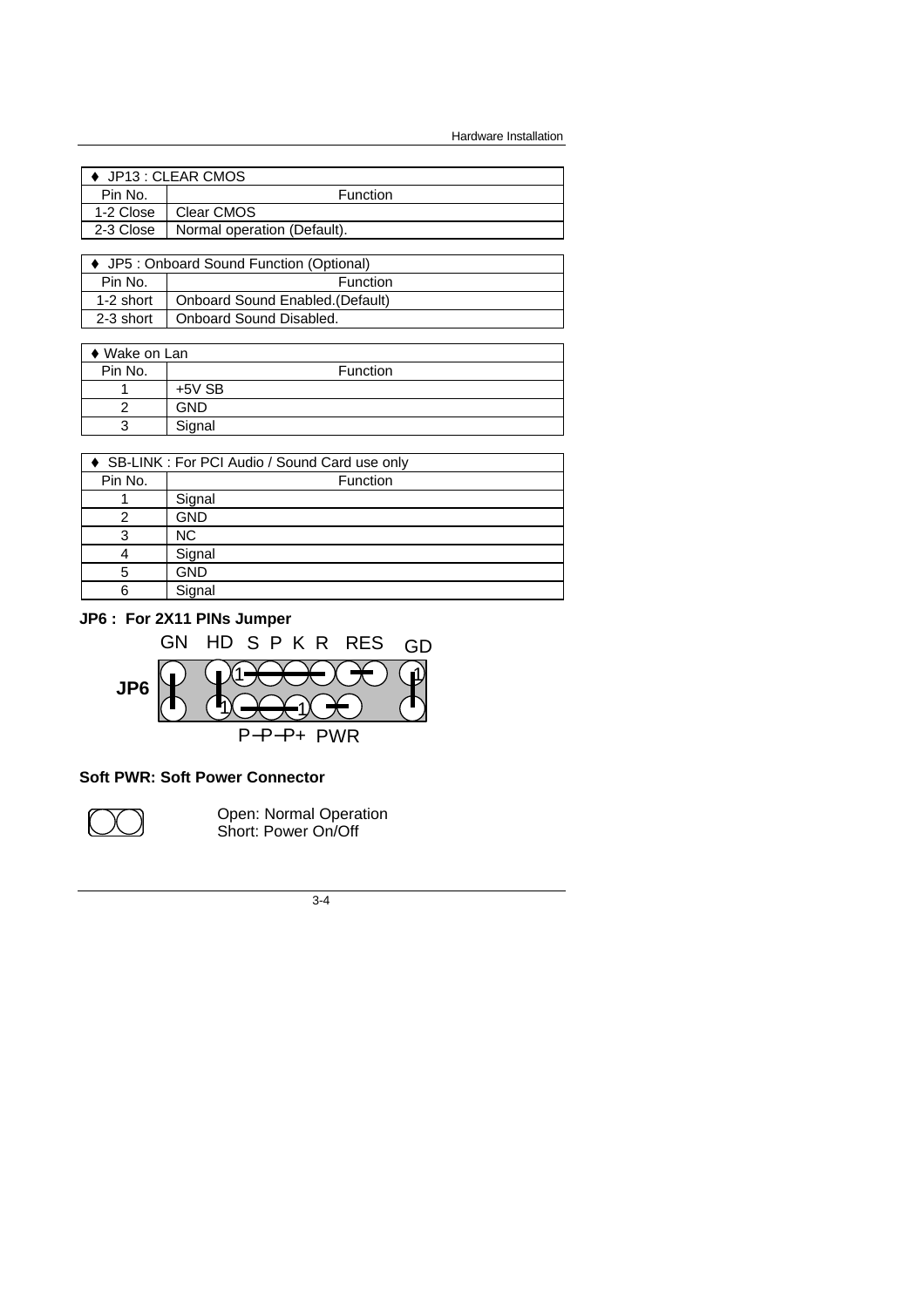Hardware Installation

|           | ♦ JP13 : CLEAR CMOS         |
|-----------|-----------------------------|
| Pin No.   | Function                    |
| 1-2 Close | Clear CMOS                  |
| 2-3 Close | Normal operation (Default). |
|           |                             |

| ↓ JP5 : Onboard Sound Function (Optional) |                                  |  |  |
|-------------------------------------------|----------------------------------|--|--|
| Pin No.                                   | <b>Function</b>                  |  |  |
| 1-2 short                                 | Onboard Sound Enabled. (Default) |  |  |
| 2-3 short                                 | Onboard Sound Disabled.          |  |  |

| $\bullet$ Wake on Lan |          |                 |
|-----------------------|----------|-----------------|
| Pin No.               |          | <b>Function</b> |
|                       | $+5V$ SB |                 |
|                       | GND      |                 |
| 3                     | Signal   |                 |

| SB-LINK : For PCI Audio / Sound Card use only |  |  |  |
|-----------------------------------------------|--|--|--|
| Function                                      |  |  |  |
| Signal                                        |  |  |  |
| <b>GND</b>                                    |  |  |  |
| <b>NC</b>                                     |  |  |  |
| Signal                                        |  |  |  |
| <b>GND</b>                                    |  |  |  |
| Signal                                        |  |  |  |
|                                               |  |  |  |

## **JP6 : For 2X11 PINs Jumper**



## **Soft PWR: Soft Power Connector**



Open: Normal Operation Short: Power On/Off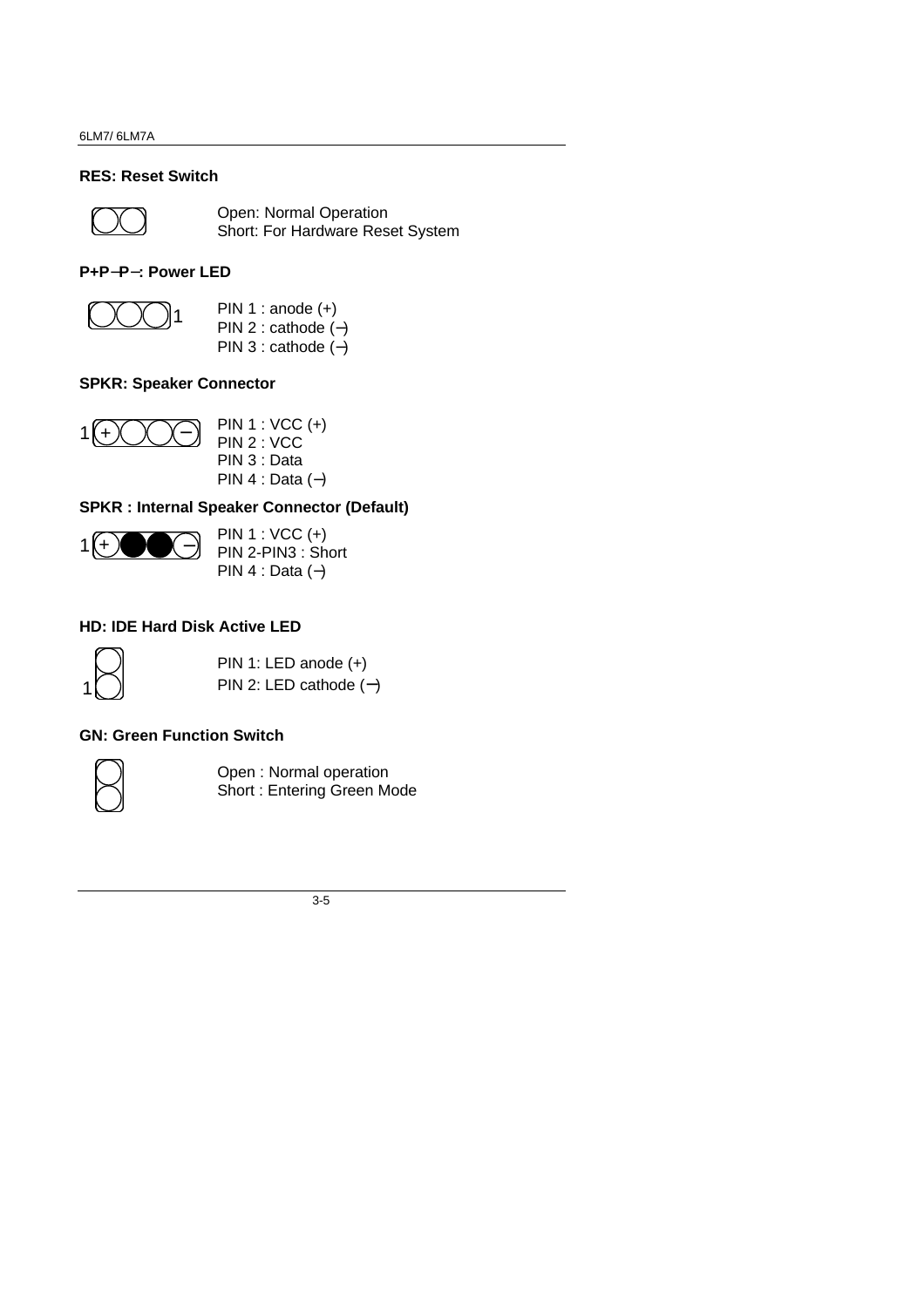## **RES: Reset Switch**



Open: Normal Operation Short: For Hardware Reset System

## **P+P-P-: Power LED**



PIN 1 : anode  $(+)$ PIN 2 : cathode (−) PIN 3 : cathode (−)

## **SPKR: Speaker Connector**



PIN 1 : VCC (+) PIN 2 : VCC PIN 3 : Data PIN 4 : Data (−)

## **SPKR : Internal Speaker Connector (Default)**



PIN 1 : VCC (+) PIN 2-PIN3 : Short PIN 4 : Data (−)

## **HD: IDE Hard Disk Active LED**



PIN 1: LED anode (+) PIN 2: LED cathode (**-**)

## **GN: Green Function Switch**



Open : Normal operation Short : Entering Green Mode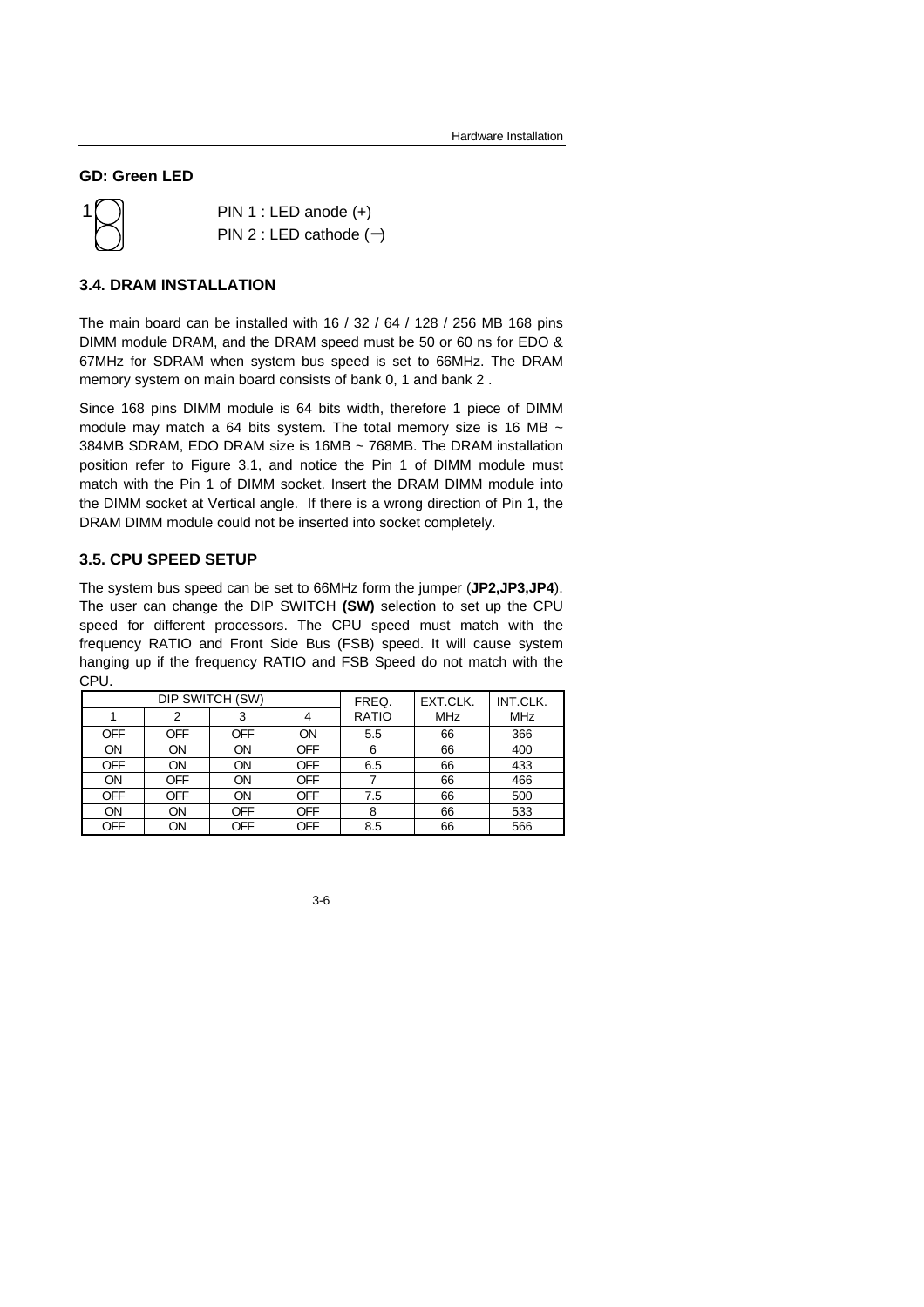### **GD: Green LED**

1

PIN 1 : LED anode (+) PIN 2 : LED cathode (**-**)

#### **3.4. DRAM INSTALLATION**

The main board can be installed with 16 / 32 / 64 / 128 / 256 MB 168 pins DIMM module DRAM, and the DRAM speed must be 50 or 60 ns for EDO & 67MHz for SDRAM when system bus speed is set to 66MHz. The DRAM memory system on main board consists of bank 0, 1 and bank 2 .

Since 168 pins DIMM module is 64 bits width, therefore 1 piece of DIMM module may match a 64 bits system. The total memory size is 16 MB  $\sim$ 384MB SDRAM, EDO DRAM size is 16MB ~ 768MB. The DRAM installation position refer to Figure 3.1, and notice the Pin 1 of DIMM module must match with the Pin 1 of DIMM socket. Insert the DRAM DIMM module into the DIMM socket at Vertical angle. If there is a wrong direction of Pin 1, the DRAM DIMM module could not be inserted into socket completely.

#### **3.5. CPU SPEED SETUP**

The system bus speed can be set to 66MHz form the jumper (**JP2,JP3,JP4**). The user can change the DIP SWITCH **(SW)** selection to set up the CPU speed for different processors. The CPU speed must match with the frequency RATIO and Front Side Bus (FSB) speed. It will cause system hanging up if the frequency RATIO and FSB Speed do not match with the CPU.

| DIP SWITCH (SW) |     |     | FREQ.      | EXT.CLK.     | INT.CLK.   |            |
|-----------------|-----|-----|------------|--------------|------------|------------|
|                 |     |     |            | <b>RATIO</b> | <b>MHz</b> | <b>MHz</b> |
| OFF             | OFF | OFF | ON         | 5.5          | 66         | 366        |
| ON              | ON  | ON  | OFF        | 6            | 66         | 400        |
| OFF             | ON  | ON  | OFF        | 6.5          | 66         | 433        |
| ON              | OFF | ON  | OFF        |              | 66         | 466        |
| OFF             | OFF | ON  | <b>OFF</b> | 7.5          | 66         | 500        |
| ON              | ON  | OFF | <b>OFF</b> | 8            | 66         | 533        |
| OFF             | ON  | OFF | OFF        | 8.5          | 66         | 566        |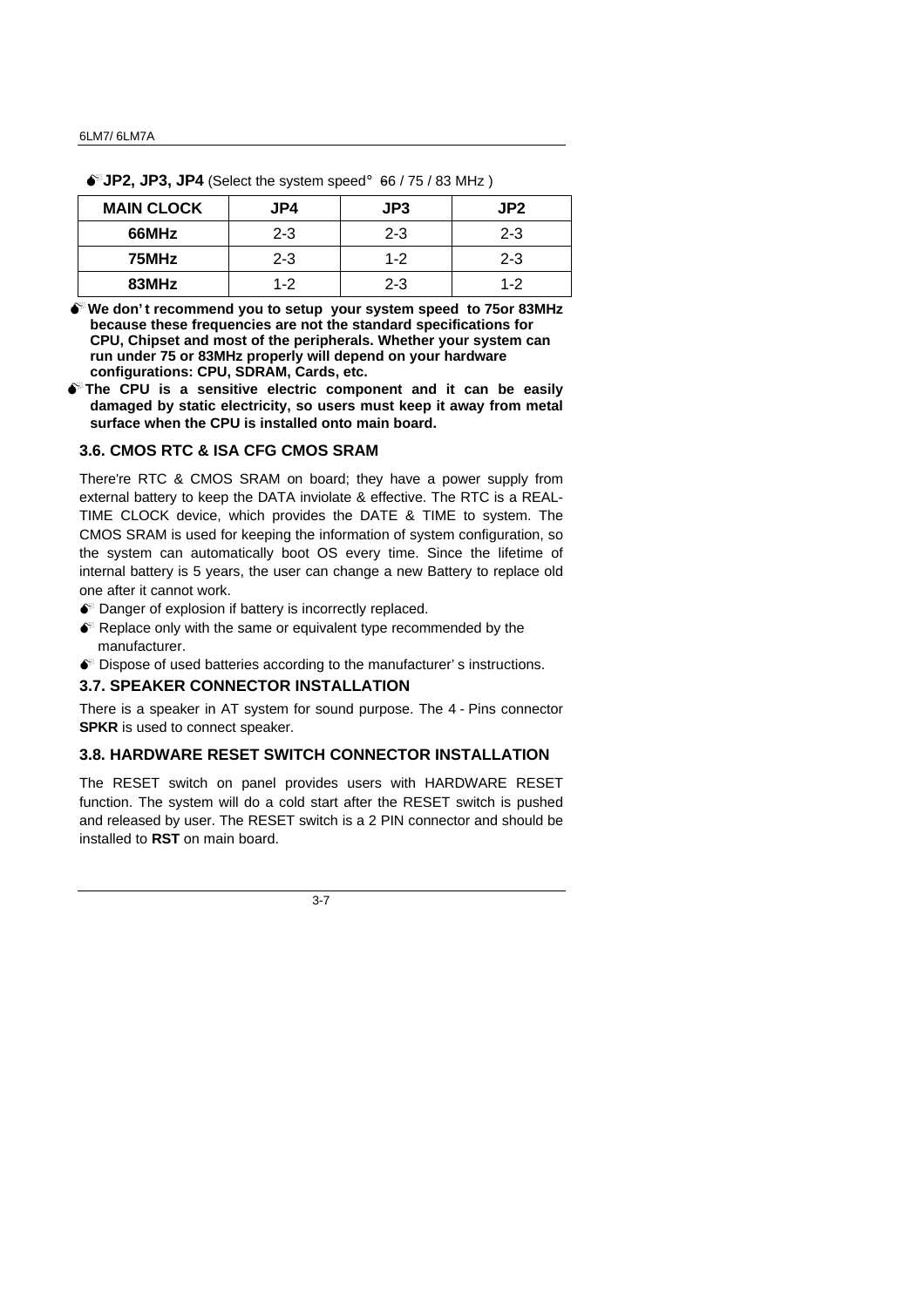| <b>MAIN CLOCK</b> | JP4     | JP3     | JP2     |
|-------------------|---------|---------|---------|
| 66MHz             | $2 - 3$ | $2 - 3$ | $2 - 3$ |
| 75MHz             | $2 - 3$ | $1 - 2$ | $2 - 3$ |
| 83MHz             | $1-2$   | $2 - 3$ | $1 - 2$ |

 $\bullet^*$ **JP2, JP3, JP4** (Select the system speed; G66 / 75 / 83 MHz)

**MWe don' t recommend you to setup your system speed to 75or 83MHz because these frequencies are not the standard specifications for CPU, Chipset and most of the peripherals. Whether your system can run under 75 or 83MHz properly will depend on your hardware configurations: CPU, SDRAM, Cards, etc.**

 $\bullet$ <sup>\*</sup>The CPU is a sensitive electric component and it can be easily **damaged by static electricity, so users must keep it away from metal surface when the CPU is installed onto main board.**

#### **3.6. CMOS RTC & ISA CFG CMOS SRAM**

There're RTC & CMOS SRAM on board; they have a power supply from external battery to keep the DATA inviolate & effective. The RTC is a REAL-TIME CLOCK device, which provides the DATE & TIME to system. The CMOS SRAM is used for keeping the information of system configuration, so the system can automatically boot OS every time. Since the lifetime of internal battery is 5 years, the user can change a new Battery to replace old one after it cannot work.

- $\bullet$  Danger of explosion if battery is incorrectly replaced.
- $\bullet$  Replace only with the same or equivalent type recommended by the manufacturer.
- $\bullet$  Dispose of used batteries according to the manufacturer's instructions.

#### **3.7. SPEAKER CONNECTOR INSTALLATION**

There is a speaker in AT system for sound purpose. The 4 - Pins connector **SPKR** is used to connect speaker.

## **3.8. HARDWARE RESET SWITCH CONNECTOR INSTALLATION**

The RESET switch on panel provides users with HARDWARE RESET function. The system will do a cold start after the RESET switch is pushed and released by user. The RESET switch is a 2 PIN connector and should be installed to **RST** on main board.